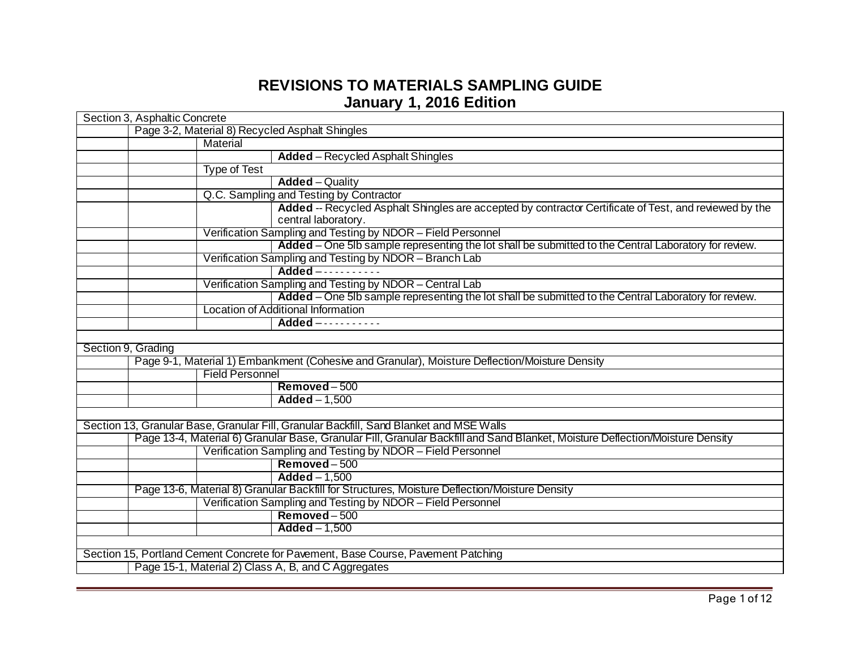## **REVISIONS TO MATERIALS SAMPLING GUIDE January 1, 2016 Edition**

|                    | Section 3, Asphaltic Concrete                                                     |                                                                                                                               |  |
|--------------------|-----------------------------------------------------------------------------------|-------------------------------------------------------------------------------------------------------------------------------|--|
|                    | Page 3-2, Material 8) Recycled Asphalt Shingles                                   |                                                                                                                               |  |
|                    | Material                                                                          |                                                                                                                               |  |
|                    |                                                                                   | <b>Added</b> – Recycled Asphalt Shingles                                                                                      |  |
|                    | <b>Type of Test</b>                                                               |                                                                                                                               |  |
|                    |                                                                                   | $Added - Quality$                                                                                                             |  |
|                    |                                                                                   | Q.C. Sampling and Testing by Contractor                                                                                       |  |
|                    |                                                                                   | Added -- Recycled Asphalt Shingles are accepted by contractor Certificate of Test, and reviewed by the<br>central laboratory. |  |
|                    |                                                                                   | Verification Sampling and Testing by NDOR - Field Personnel                                                                   |  |
|                    |                                                                                   | Added - One 5lb sample representing the lot shall be submitted to the Central Laboratory for review.                          |  |
|                    |                                                                                   | Verification Sampling and Testing by NDOR - Branch Lab                                                                        |  |
|                    |                                                                                   | Added - - - - - - - - - - -                                                                                                   |  |
|                    |                                                                                   | Verification Sampling and Testing by NDOR - Central Lab                                                                       |  |
|                    |                                                                                   | Added - One 5lb sample representing the lot shall be submitted to the Central Laboratory for review.                          |  |
|                    |                                                                                   | Location of Additional Information                                                                                            |  |
|                    |                                                                                   | Added -----------                                                                                                             |  |
|                    |                                                                                   |                                                                                                                               |  |
| Section 9, Grading |                                                                                   |                                                                                                                               |  |
|                    |                                                                                   | Page 9-1, Material 1) Embankment (Cohesive and Granular), Moisture Deflection/Moisture Density                                |  |
|                    | <b>Field Personnel</b>                                                            |                                                                                                                               |  |
|                    |                                                                                   | Removed-500                                                                                                                   |  |
|                    |                                                                                   | $Added - 1,500$                                                                                                               |  |
|                    |                                                                                   |                                                                                                                               |  |
|                    |                                                                                   | Section 13, Granular Base, Granular Fill, Granular Backfill, Sand Blanket and MSE Walls                                       |  |
|                    |                                                                                   | Page 13-4, Material 6) Granular Base, Granular Fill, Granular Backfill and Sand Blanket, Moisture Deflection/Moisture Density |  |
|                    |                                                                                   | Verification Sampling and Testing by NDOR - Field Personnel                                                                   |  |
|                    |                                                                                   | Removed-500                                                                                                                   |  |
|                    |                                                                                   | $Added - 1,500$                                                                                                               |  |
|                    |                                                                                   | Page 13-6, Material 8) Granular Backfill for Structures, Moisture Deflection/Moisture Density                                 |  |
|                    |                                                                                   | Verification Sampling and Testing by NDOR - Field Personnel                                                                   |  |
|                    |                                                                                   | $Removed - 500$                                                                                                               |  |
|                    |                                                                                   | $Added - 1,500$                                                                                                               |  |
|                    |                                                                                   |                                                                                                                               |  |
|                    | Section 15, Portland Cement Concrete for Pavement, Base Course, Pavement Patching |                                                                                                                               |  |
|                    | Page 15-1, Material 2) Class A, B, and C Aggregates                               |                                                                                                                               |  |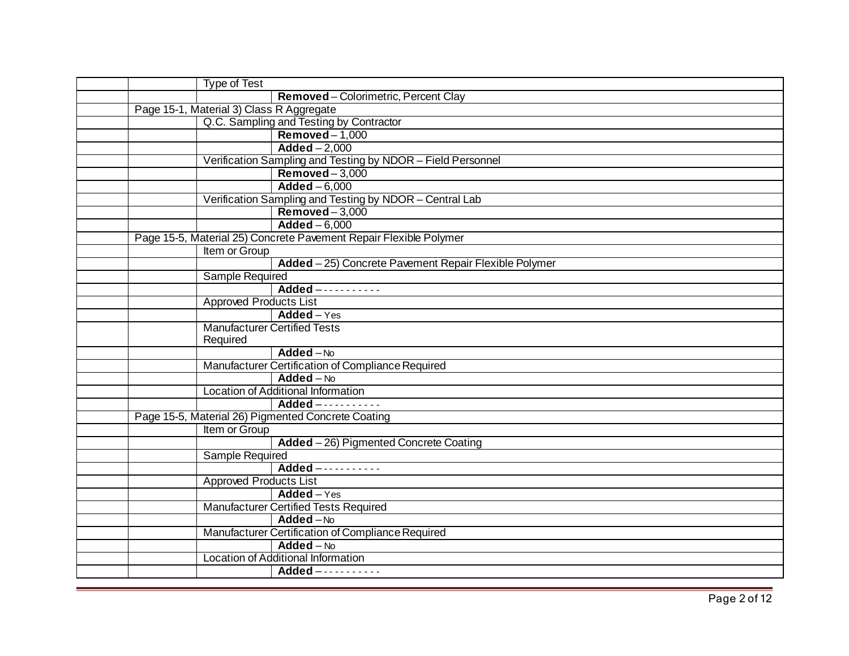| <b>Type of Test</b>                                |                                                                   |
|----------------------------------------------------|-------------------------------------------------------------------|
|                                                    | Removed-Colorimetric, Percent Clay                                |
| Page 15-1, Material 3) Class R Aggregate           |                                                                   |
|                                                    | Q.C. Sampling and Testing by Contractor                           |
|                                                    | $Removed-1,000$                                                   |
|                                                    | $Added - 2,000$                                                   |
|                                                    | Verification Sampling and Testing by NDOR - Field Personnel       |
|                                                    | $Removed - 3,000$                                                 |
|                                                    | $Added - 6,000$                                                   |
|                                                    | Verification Sampling and Testing by NDOR - Central Lab           |
|                                                    | $R$ emoved $-3,000$                                               |
|                                                    | $Added - 6,000$                                                   |
|                                                    | Page 15-5, Material 25) Concrete Pavement Repair Flexible Polymer |
| Item or Group                                      |                                                                   |
|                                                    | Added - 25) Concrete Pavement Repair Flexible Polymer             |
| Sample Required                                    |                                                                   |
|                                                    | Added -----------                                                 |
| <b>Approved Products List</b>                      |                                                                   |
|                                                    | $Added - Yes$                                                     |
| Required                                           | <b>Manufacturer Certified Tests</b>                               |
|                                                    | $Added - No$                                                      |
|                                                    | Manufacturer Certification of Compliance Required                 |
|                                                    | $Added - No$                                                      |
|                                                    | Location of Additional Information                                |
|                                                    | Added -----------                                                 |
| Page 15-5, Material 26) Pigmented Concrete Coating |                                                                   |
| Item or Group                                      |                                                                   |
|                                                    | Added - 26) Pigmented Concrete Coating                            |
| <b>Sample Required</b>                             |                                                                   |
|                                                    | Added -----------                                                 |
| <b>Approved Products List</b>                      |                                                                   |
|                                                    | $Added - Yes$                                                     |
|                                                    | Manufacturer Certified Tests Required                             |
|                                                    | $Added - No$                                                      |
|                                                    | Manufacturer Certification of Compliance Required                 |
|                                                    | $Added - No$                                                      |
|                                                    | Location of Additional Information                                |
|                                                    | Added -----------                                                 |
|                                                    |                                                                   |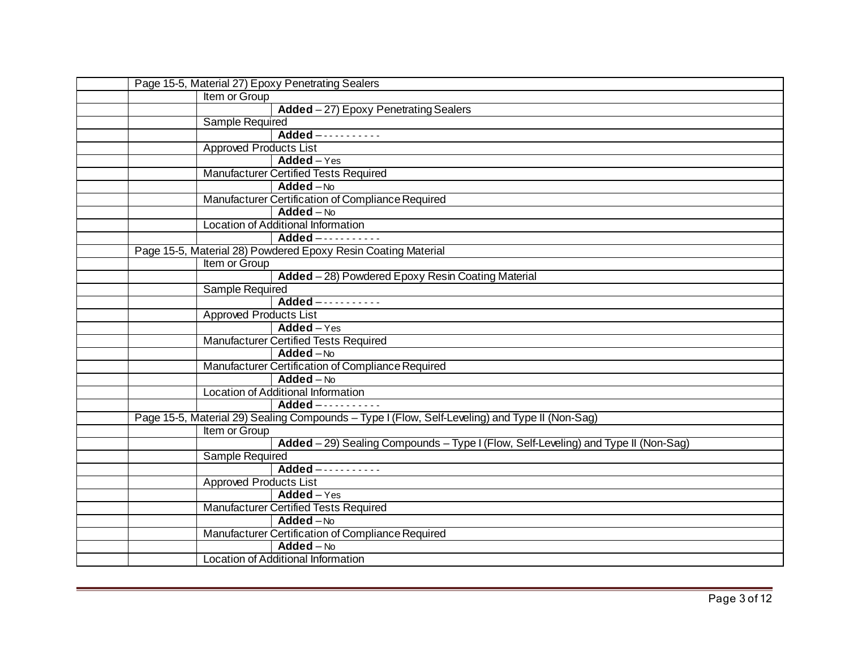| Page 15-5, Material 27) Epoxy Penetrating Sealers                                              |  |  |
|------------------------------------------------------------------------------------------------|--|--|
| Item or Group                                                                                  |  |  |
| Added - 27) Epoxy Penetrating Sealers                                                          |  |  |
| <b>Sample Required</b>                                                                         |  |  |
| Added -----------                                                                              |  |  |
| <b>Approved Products List</b>                                                                  |  |  |
| $Added - Yes$                                                                                  |  |  |
| <b>Manufacturer Certified Tests Required</b>                                                   |  |  |
| $Added - No$                                                                                   |  |  |
| Manufacturer Certification of Compliance Required                                              |  |  |
| $Added - No$                                                                                   |  |  |
| Location of Additional Information                                                             |  |  |
| Added -----------                                                                              |  |  |
| Page 15-5, Material 28) Powdered Epoxy Resin Coating Material                                  |  |  |
| Item or Group                                                                                  |  |  |
| Added - 28) Powdered Epoxy Resin Coating Material                                              |  |  |
| <b>Sample Required</b>                                                                         |  |  |
| Added -----------                                                                              |  |  |
| <b>Approved Products List</b>                                                                  |  |  |
| Added - Yes                                                                                    |  |  |
| <b>Manufacturer Certified Tests Required</b>                                                   |  |  |
| $Added - No$                                                                                   |  |  |
| Manufacturer Certification of Compliance Required                                              |  |  |
| $Added - No$                                                                                   |  |  |
| Location of Additional Information                                                             |  |  |
| Added -----------                                                                              |  |  |
| Page 15-5, Material 29) Sealing Compounds - Type I (Flow, Self-Leveling) and Type II (Non-Sag) |  |  |
| Item or Group                                                                                  |  |  |
| Added - 29) Sealing Compounds - Type I (Flow, Self-Leveling) and Type II (Non-Sag)             |  |  |
| <b>Sample Required</b>                                                                         |  |  |
| Added -----------                                                                              |  |  |
| <b>Approved Products List</b>                                                                  |  |  |
| $Added - Yes$                                                                                  |  |  |
| <b>Manufacturer Certified Tests Required</b>                                                   |  |  |
| $Added - No$                                                                                   |  |  |
| Manufacturer Certification of Compliance Required                                              |  |  |
| $Added - No$                                                                                   |  |  |
| Location of Additional Information                                                             |  |  |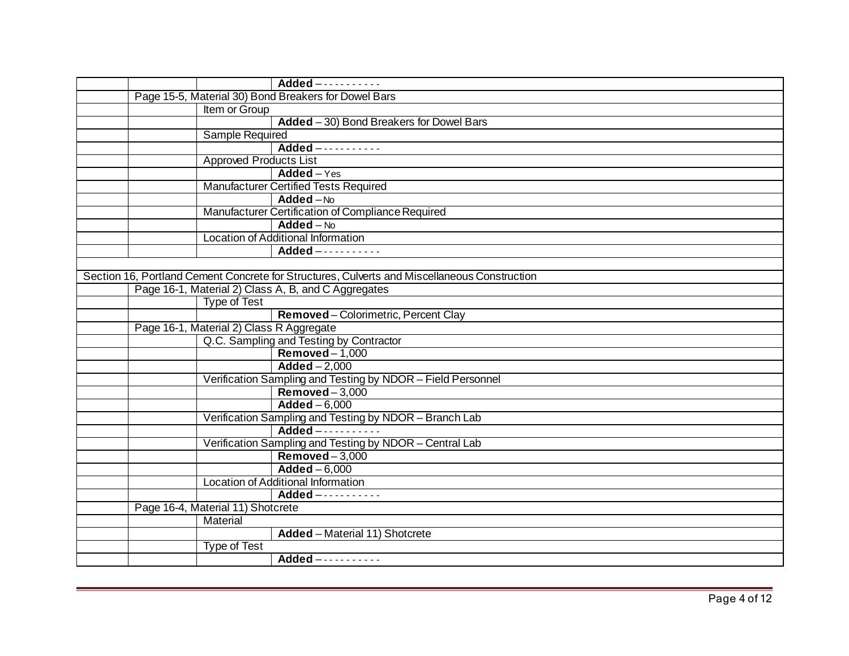|                                          | Added -----------                                                                            |
|------------------------------------------|----------------------------------------------------------------------------------------------|
|                                          | Page 15-5, Material 30) Bond Breakers for Dowel Bars                                         |
| Item or Group                            |                                                                                              |
|                                          | $Added - 30$ ) Bond Breakers for Dowel Bars                                                  |
| <b>Sample Required</b>                   |                                                                                              |
|                                          | Added -----------                                                                            |
|                                          | <b>Approved Products List</b>                                                                |
|                                          | Added - Yes                                                                                  |
|                                          | <b>Manufacturer Certified Tests Required</b>                                                 |
|                                          | $Added - No$                                                                                 |
|                                          | Manufacturer Certification of Compliance Required                                            |
|                                          | $Added - No$                                                                                 |
|                                          | <b>Location of Additional Information</b>                                                    |
|                                          | Added -----------                                                                            |
|                                          |                                                                                              |
|                                          | Section 16, Portland Cement Concrete for Structures, Culverts and Miscellaneous Construction |
|                                          | Page 16-1, Material 2) Class A, B, and C Aggregates                                          |
| <b>Type of Test</b>                      |                                                                                              |
|                                          | Removed-Colorimetric, Percent Clay                                                           |
| Page 16-1, Material 2) Class R Aggregate |                                                                                              |
|                                          | Q.C. Sampling and Testing by Contractor                                                      |
|                                          | $Removed-1,000$                                                                              |
|                                          | $Added - 2,000$                                                                              |
|                                          | Verification Sampling and Testing by NDOR - Field Personnel                                  |
|                                          | $Removed-3,000$                                                                              |
|                                          | $Added - 6,000$                                                                              |
|                                          | Verification Sampling and Testing by NDOR - Branch Lab                                       |
|                                          | Added -----------                                                                            |
|                                          | Verification Sampling and Testing by NDOR - Central Lab                                      |
|                                          | $Removed-3,000$                                                                              |
|                                          | $Added - 6,000$                                                                              |
|                                          | Location of Additional Information                                                           |
|                                          | Added -----------                                                                            |
| Page 16-4, Material 11) Shotcrete        |                                                                                              |
| Material                                 |                                                                                              |
|                                          | Added - Material 11) Shotcrete                                                               |
| <b>Type of Test</b>                      |                                                                                              |
|                                          | Added -----------                                                                            |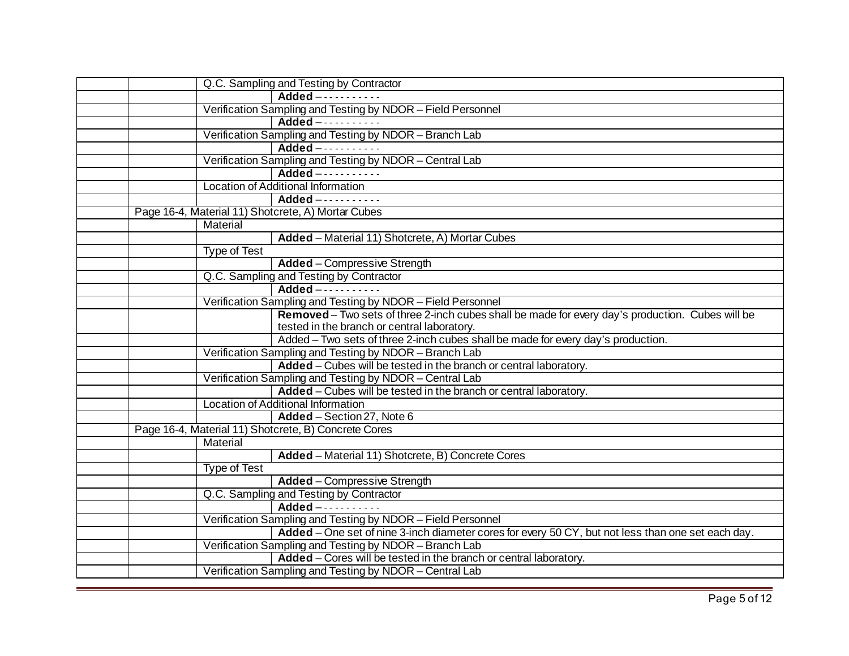| Q.C. Sampling and Testing by Contractor                                                            |
|----------------------------------------------------------------------------------------------------|
| $Added$ -----------                                                                                |
| Verification Sampling and Testing by NDOR - Field Personnel                                        |
| Added -----------                                                                                  |
| Verification Sampling and Testing by NDOR - Branch Lab                                             |
| Added -----------                                                                                  |
| Verification Sampling and Testing by NDOR - Central Lab                                            |
| Added -----------                                                                                  |
| Location of Additional Information                                                                 |
| Added -----------                                                                                  |
| Page 16-4, Material 11) Shotcrete, A) Mortar Cubes                                                 |
| Material                                                                                           |
| Added - Material 11) Shotcrete, A) Mortar Cubes                                                    |
| <b>Type of Test</b>                                                                                |
| <b>Added</b> - Compressive Strength                                                                |
| Q.C. Sampling and Testing by Contractor                                                            |
| Added -----------                                                                                  |
| Verification Sampling and Testing by NDOR - Field Personnel                                        |
| Removed - Two sets of three 2-inch cubes shall be made for every day's production. Cubes will be   |
| tested in the branch or central laboratory.                                                        |
| Added - Two sets of three 2-inch cubes shall be made for every day's production.                   |
| Verification Sampling and Testing by NDOR - Branch Lab                                             |
| Added - Cubes will be tested in the branch or central laboratory.                                  |
| Verification Sampling and Testing by NDOR - Central Lab                                            |
| Added – Cubes will be tested in the branch or central laboratory.                                  |
| Location of Additional Information                                                                 |
| Added - Section 27, Note 6                                                                         |
| Page 16-4, Material 11) Shotcrete, B) Concrete Cores                                               |
| Material                                                                                           |
| Added - Material 11) Shotcrete, B) Concrete Cores                                                  |
| <b>Type of Test</b>                                                                                |
| <b>Added</b> - Compressive Strength                                                                |
| Q.C. Sampling and Testing by Contractor                                                            |
| Added -----------                                                                                  |
| Verification Sampling and Testing by NDOR - Field Personnel                                        |
| Added – One set of nine 3-inch diameter cores for every 50 CY, but not less than one set each day. |
| Verification Sampling and Testing by NDOR - Branch Lab                                             |
| Added - Cores will be tested in the branch or central laboratory.                                  |
| Verification Sampling and Testing by NDOR - Central Lab                                            |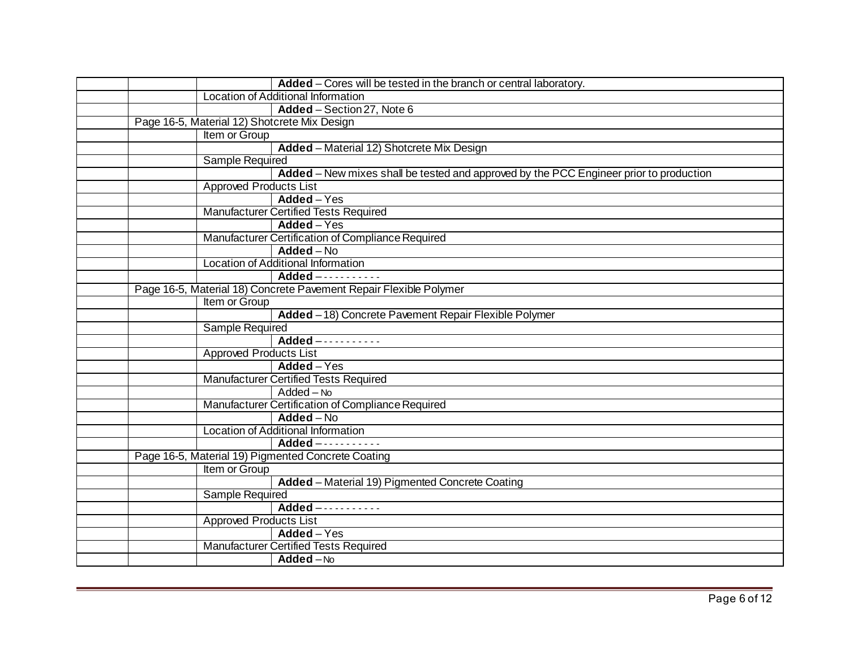| Added – Cores will be tested in the branch or central laboratory.                      |
|----------------------------------------------------------------------------------------|
| Location of Additional Information                                                     |
| Added - Section 27, Note 6                                                             |
| Page 16-5, Material 12) Shotcrete Mix Design                                           |
| Item or Group                                                                          |
| Added - Material 12) Shotcrete Mix Design                                              |
| Sample Required                                                                        |
| Added - New mixes shall be tested and approved by the PCC Engineer prior to production |
| <b>Approved Products List</b>                                                          |
| Added - Yes                                                                            |
| <b>Manufacturer Certified Tests Required</b>                                           |
| Added - Yes                                                                            |
| Manufacturer Certification of Compliance Required                                      |
| $Added - No$                                                                           |
| Location of Additional Information                                                     |
| $Added$ -----------                                                                    |
| Page 16-5, Material 18) Concrete Pavement Repair Flexible Polymer                      |
| Item or Group                                                                          |
| Added - 18) Concrete Pavement Repair Flexible Polymer                                  |
| Sample Required                                                                        |
| Added -----------                                                                      |
| <b>Approved Products List</b>                                                          |
| $Added - Yes$                                                                          |
| <b>Manufacturer Certified Tests Required</b>                                           |
| $Added - No$                                                                           |
| Manufacturer Certification of Compliance Required                                      |
| Added - No                                                                             |
| Location of Additional Information                                                     |
| Added -----------                                                                      |
| Page 16-5, Material 19) Pigmented Concrete Coating                                     |
| Item or Group                                                                          |
| Added - Material 19) Pigmented Concrete Coating                                        |
| <b>Sample Required</b>                                                                 |
| Added -----------                                                                      |
| <b>Approved Products List</b>                                                          |
| $Added - Yes$                                                                          |
| <b>Manufacturer Certified Tests Required</b>                                           |
| $Added - No$                                                                           |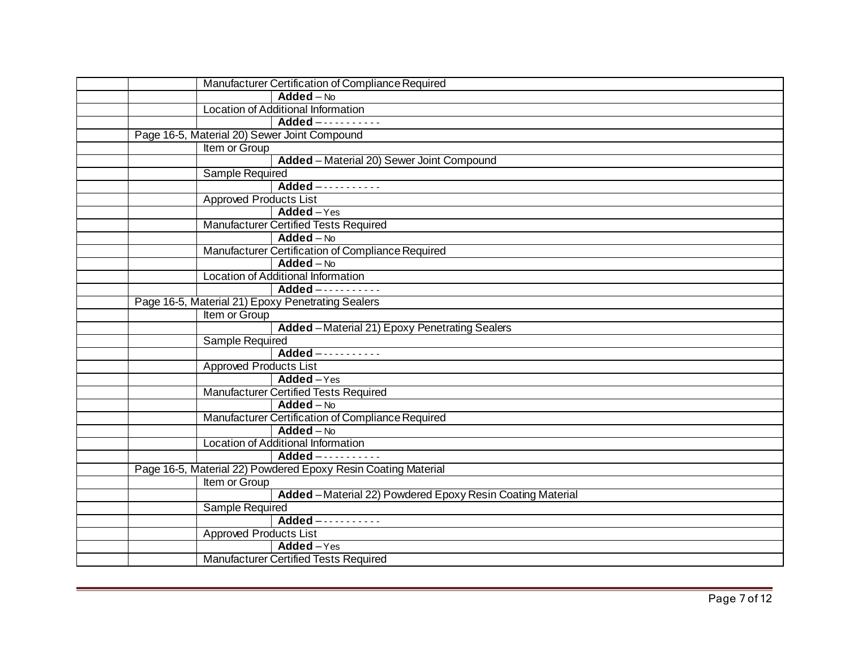|                                                   | Manufacturer Certification of Compliance Required             |
|---------------------------------------------------|---------------------------------------------------------------|
|                                                   | $Added - No$                                                  |
|                                                   | Location of Additional Information                            |
|                                                   | Added -----------                                             |
| Page 16-5, Material 20) Sewer Joint Compound      |                                                               |
| Item or Group                                     |                                                               |
|                                                   | Added - Material 20) Sewer Joint Compound                     |
| Sample Required                                   |                                                               |
|                                                   | Added -----------                                             |
| <b>Approved Products List</b>                     |                                                               |
|                                                   | $Added - Yes$                                                 |
|                                                   | <b>Manufacturer Certified Tests Required</b>                  |
|                                                   | $Added - No$                                                  |
|                                                   | Manufacturer Certification of Compliance Required             |
|                                                   | $Added - No$                                                  |
|                                                   | <b>Location of Additional Information</b>                     |
|                                                   | Added -----------                                             |
| Page 16-5, Material 21) Epoxy Penetrating Sealers |                                                               |
| Item or Group                                     |                                                               |
|                                                   | Added - Material 21) Epoxy Penetrating Sealers                |
| <b>Sample Required</b>                            |                                                               |
|                                                   | Added -----------                                             |
| <b>Approved Products List</b>                     |                                                               |
|                                                   | Added-Yes                                                     |
|                                                   | <b>Manufacturer Certified Tests Required</b>                  |
|                                                   | $Added - No$                                                  |
|                                                   | Manufacturer Certification of Compliance Required             |
|                                                   | $Added - No$                                                  |
|                                                   | Location of Additional Information                            |
|                                                   | Added -----------                                             |
|                                                   | Page 16-5, Material 22) Powdered Epoxy Resin Coating Material |
| Item or Group                                     |                                                               |
|                                                   | Added - Material 22) Powdered Epoxy Resin Coating Material    |
| <b>Sample Required</b>                            |                                                               |
|                                                   | Added -----------                                             |
| <b>Approved Products List</b>                     |                                                               |
|                                                   | Added-Yes                                                     |
|                                                   | <b>Manufacturer Certified Tests Required</b>                  |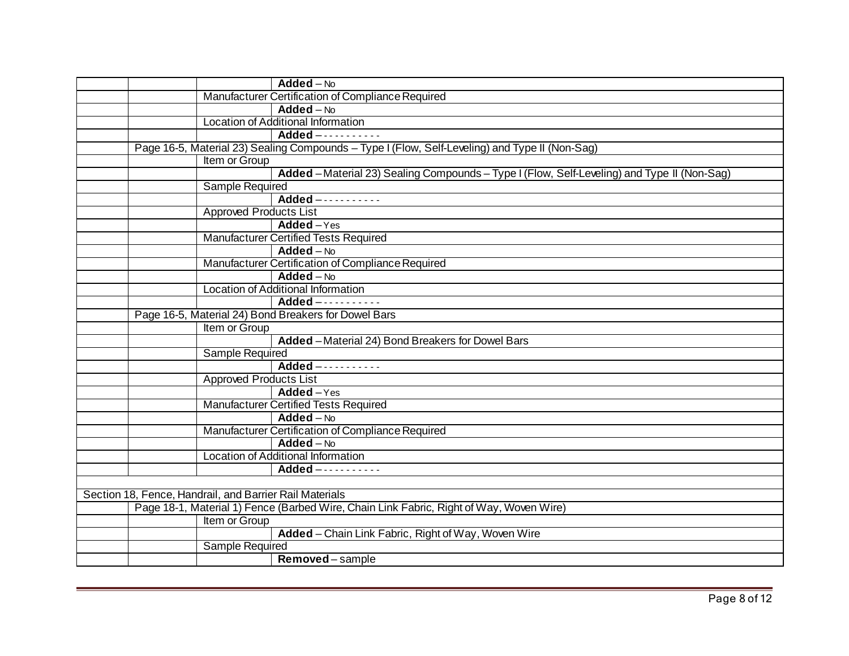| $Added - No$                                                                                   |  |
|------------------------------------------------------------------------------------------------|--|
| Manufacturer Certification of Compliance Required                                              |  |
| $\overline{\mathsf{Added}} - \mathsf{No}$                                                      |  |
| Location of Additional Information                                                             |  |
| $Added$ -----------                                                                            |  |
| Page 16-5, Material 23) Sealing Compounds - Type I (Flow, Self-Leveling) and Type II (Non-Sag) |  |
| Item or Group                                                                                  |  |
| Added - Material 23) Sealing Compounds - Type I (Flow, Self-Leveling) and Type II (Non-Sag)    |  |
| <b>Sample Required</b>                                                                         |  |
| Added -----------                                                                              |  |
| <b>Approved Products List</b>                                                                  |  |
| $Added - Yes$                                                                                  |  |
| <b>Manufacturer Certified Tests Required</b>                                                   |  |
| $Added - No$                                                                                   |  |
| Manufacturer Certification of Compliance Required                                              |  |
| $Added - No$                                                                                   |  |
| Location of Additional Information                                                             |  |
| Added -----------                                                                              |  |
| Page 16-5, Material 24) Bond Breakers for Dowel Bars                                           |  |
| Item or Group                                                                                  |  |
| Added - Material 24) Bond Breakers for Dowel Bars                                              |  |
| <b>Sample Required</b>                                                                         |  |
| Added -----------                                                                              |  |
| <b>Approved Products List</b>                                                                  |  |
| Added-Yes                                                                                      |  |
| <b>Manufacturer Certified Tests Required</b>                                                   |  |
| $Added - No$                                                                                   |  |
| Manufacturer Certification of Compliance Required                                              |  |
| $Added - No$                                                                                   |  |
| Location of Additional Information                                                             |  |
| $Added$ -----------                                                                            |  |
|                                                                                                |  |
| Section 18, Fence, Handrail, and Barrier Rail Materials                                        |  |
| Page 18-1, Material 1) Fence (Barbed Wire, Chain Link Fabric, Right of Way, Woven Wire)        |  |
| Item or Group                                                                                  |  |
| Added - Chain Link Fabric, Right of Way, Woven Wire                                            |  |
| <b>Sample Required</b>                                                                         |  |
| Removed-sample                                                                                 |  |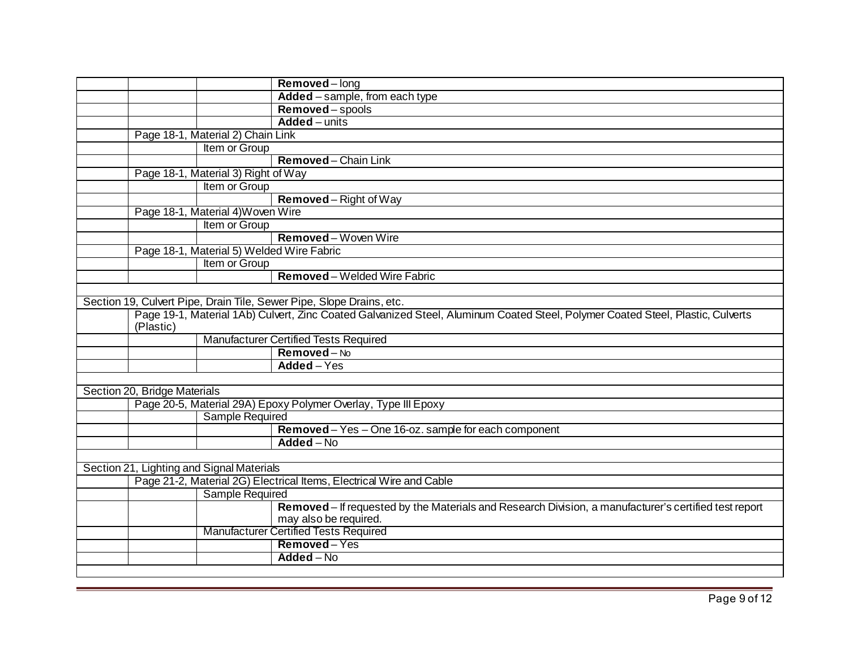|                                           |                                           | Removed-long                                                                                                                   |
|-------------------------------------------|-------------------------------------------|--------------------------------------------------------------------------------------------------------------------------------|
|                                           |                                           | Added - sample, from each type                                                                                                 |
|                                           |                                           | Removed-spools                                                                                                                 |
|                                           |                                           | Added - units                                                                                                                  |
|                                           | Page 18-1, Material 2) Chain Link         |                                                                                                                                |
|                                           | Item or Group                             |                                                                                                                                |
|                                           |                                           | Removed-Chain Link                                                                                                             |
|                                           | Page 18-1, Material 3) Right of Way       |                                                                                                                                |
|                                           | Item or Group                             |                                                                                                                                |
|                                           |                                           | Removed-Right of Way                                                                                                           |
|                                           | Page 18-1, Material 4) Woven Wire         |                                                                                                                                |
|                                           | Item or Group                             |                                                                                                                                |
|                                           |                                           | Removed-Woven Wire                                                                                                             |
|                                           | Page 18-1, Material 5) Welded Wire Fabric |                                                                                                                                |
|                                           | Item or Group                             |                                                                                                                                |
|                                           |                                           | Removed - Welded Wire Fabric                                                                                                   |
|                                           |                                           |                                                                                                                                |
|                                           |                                           | Section 19, Culvert Pipe, Drain Tile, Sewer Pipe, Slope Drains, etc.                                                           |
| (Plastic)                                 |                                           | Page 19-1, Material 1Ab) Culvert, Zinc Coated Galvanized Steel, Aluminum Coated Steel, Polymer Coated Steel, Plastic, Culverts |
|                                           |                                           | <b>Manufacturer Certified Tests Required</b>                                                                                   |
|                                           |                                           | Removed-No                                                                                                                     |
|                                           |                                           | Added - Yes                                                                                                                    |
|                                           |                                           |                                                                                                                                |
| Section 20, Bridge Materials              |                                           |                                                                                                                                |
|                                           |                                           | Page 20-5, Material 29A) Epoxy Polymer Overlay, Type III Epoxy                                                                 |
|                                           | <b>Sample Required</b>                    |                                                                                                                                |
|                                           |                                           | Removed - Yes - One 16-oz. sample for each component                                                                           |
|                                           |                                           | Added - No                                                                                                                     |
|                                           |                                           |                                                                                                                                |
| Section 21, Lighting and Signal Materials |                                           |                                                                                                                                |
|                                           |                                           | Page 21-2, Material 2G) Electrical Items, Electrical Wire and Cable                                                            |
|                                           | Sample Required                           |                                                                                                                                |
|                                           |                                           | Removed – If requested by the Materials and Research Division, a manufacturer's certified test report<br>may also be required. |
|                                           |                                           | <b>Manufacturer Certified Tests Required</b>                                                                                   |
|                                           |                                           | Removed-Yes                                                                                                                    |
|                                           |                                           | Added - No                                                                                                                     |
|                                           |                                           |                                                                                                                                |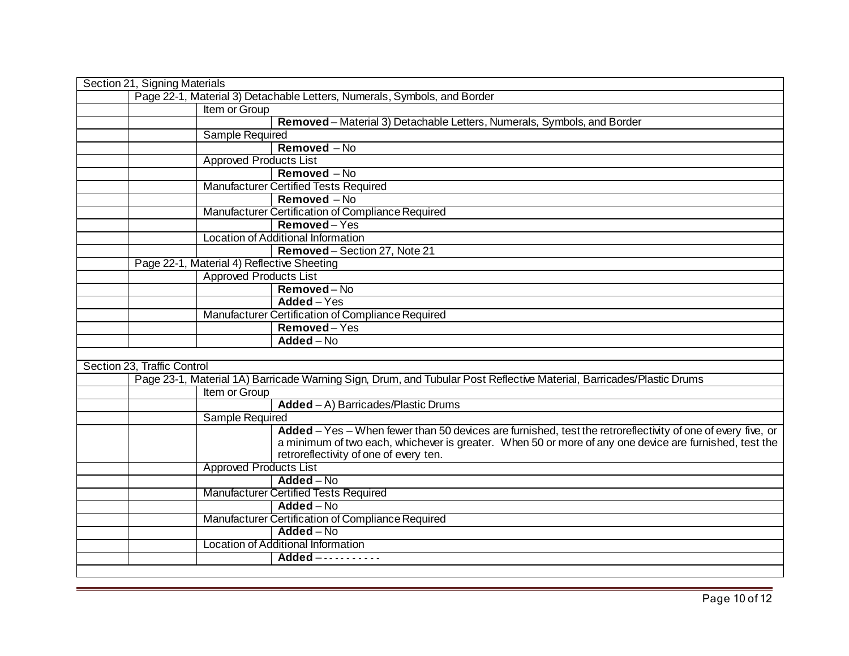| Page 22-1, Material 3) Detachable Letters, Numerals, Symbols, and Border<br>Item or Group<br>Removed - Material 3) Detachable Letters, Numerals, Symbols, and Border<br><b>Sample Required</b><br>Removed - No<br><b>Approved Products List</b><br>Removed - No<br><b>Manufacturer Certified Tests Required</b><br>Removed - No | Section 21, Signing Materials |                                                                                                             |
|---------------------------------------------------------------------------------------------------------------------------------------------------------------------------------------------------------------------------------------------------------------------------------------------------------------------------------|-------------------------------|-------------------------------------------------------------------------------------------------------------|
|                                                                                                                                                                                                                                                                                                                                 |                               |                                                                                                             |
|                                                                                                                                                                                                                                                                                                                                 |                               |                                                                                                             |
|                                                                                                                                                                                                                                                                                                                                 |                               |                                                                                                             |
|                                                                                                                                                                                                                                                                                                                                 |                               |                                                                                                             |
|                                                                                                                                                                                                                                                                                                                                 |                               |                                                                                                             |
|                                                                                                                                                                                                                                                                                                                                 |                               |                                                                                                             |
|                                                                                                                                                                                                                                                                                                                                 |                               |                                                                                                             |
|                                                                                                                                                                                                                                                                                                                                 |                               |                                                                                                             |
|                                                                                                                                                                                                                                                                                                                                 |                               |                                                                                                             |
| Manufacturer Certification of Compliance Required                                                                                                                                                                                                                                                                               |                               |                                                                                                             |
| Removed-Yes                                                                                                                                                                                                                                                                                                                     |                               |                                                                                                             |
| Location of Additional Information                                                                                                                                                                                                                                                                                              |                               |                                                                                                             |
| Removed-Section 27, Note 21                                                                                                                                                                                                                                                                                                     |                               |                                                                                                             |
| Page 22-1, Material 4) Reflective Sheeting                                                                                                                                                                                                                                                                                      |                               |                                                                                                             |
| <b>Approved Products List</b>                                                                                                                                                                                                                                                                                                   |                               |                                                                                                             |
| Removed-No                                                                                                                                                                                                                                                                                                                      |                               |                                                                                                             |
| Added - Yes                                                                                                                                                                                                                                                                                                                     |                               |                                                                                                             |
| Manufacturer Certification of Compliance Required                                                                                                                                                                                                                                                                               |                               |                                                                                                             |
| Removed-Yes                                                                                                                                                                                                                                                                                                                     |                               |                                                                                                             |
| $Added - No$                                                                                                                                                                                                                                                                                                                    |                               |                                                                                                             |
|                                                                                                                                                                                                                                                                                                                                 |                               |                                                                                                             |
| Section 23, Traffic Control                                                                                                                                                                                                                                                                                                     |                               |                                                                                                             |
| Page 23-1, Material 1A) Barricade Warning Sign, Drum, and Tubular Post Reflective Material, Barricades/Plastic Drums                                                                                                                                                                                                            |                               |                                                                                                             |
| Item or Group                                                                                                                                                                                                                                                                                                                   |                               |                                                                                                             |
| $Added - A)$ Barricades/Plastic Drums                                                                                                                                                                                                                                                                                           |                               |                                                                                                             |
| <b>Sample Required</b>                                                                                                                                                                                                                                                                                                          |                               |                                                                                                             |
|                                                                                                                                                                                                                                                                                                                                 |                               | Added - Yes - When fewer than 50 devices are furnished, test the retroreflectivity of one of every five, or |
|                                                                                                                                                                                                                                                                                                                                 |                               | a minimum of two each, whichever is greater. When 50 or more of any one device are furnished, test the      |
| retroreflectivity of one of every ten.                                                                                                                                                                                                                                                                                          |                               |                                                                                                             |
| <b>Approved Products List</b>                                                                                                                                                                                                                                                                                                   |                               |                                                                                                             |
| $Added - No$                                                                                                                                                                                                                                                                                                                    |                               |                                                                                                             |
| <b>Manufacturer Certified Tests Required</b>                                                                                                                                                                                                                                                                                    |                               |                                                                                                             |
| Added - No                                                                                                                                                                                                                                                                                                                      |                               |                                                                                                             |
| Manufacturer Certification of Compliance Required                                                                                                                                                                                                                                                                               |                               |                                                                                                             |
| Added - No                                                                                                                                                                                                                                                                                                                      |                               |                                                                                                             |
| Location of Additional Information                                                                                                                                                                                                                                                                                              |                               |                                                                                                             |
| Added -----------                                                                                                                                                                                                                                                                                                               |                               |                                                                                                             |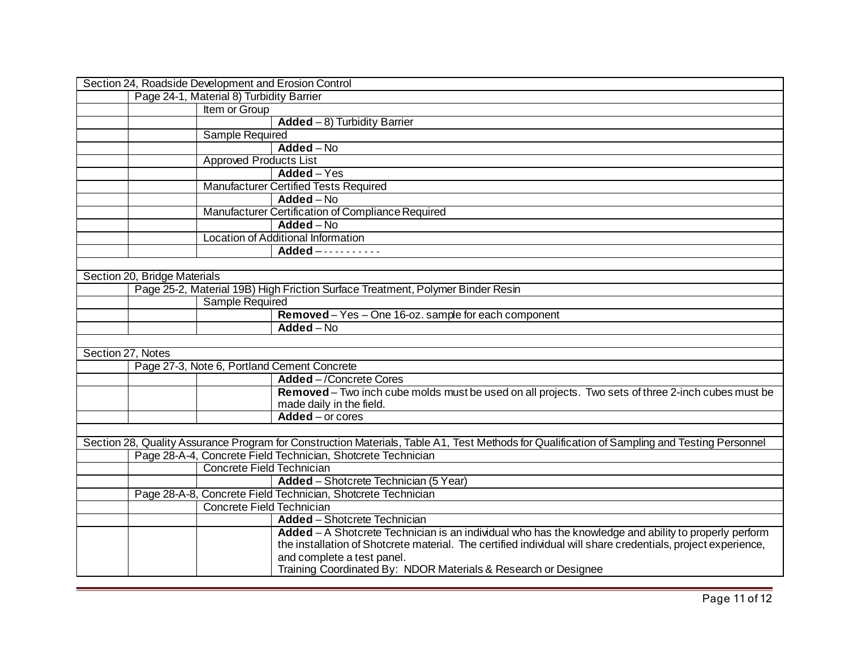| Section 24, Roadside Development and Erosion Control |                                                                                                                                              |
|------------------------------------------------------|----------------------------------------------------------------------------------------------------------------------------------------------|
| Page 24-1, Material 8) Turbidity Barrier             |                                                                                                                                              |
| Item or Group                                        |                                                                                                                                              |
|                                                      | Added $-8$ ) Turbidity Barrier                                                                                                               |
| <b>Sample Required</b>                               |                                                                                                                                              |
|                                                      | $Added - No$                                                                                                                                 |
|                                                      | <b>Approved Products List</b>                                                                                                                |
|                                                      | Added - Yes                                                                                                                                  |
|                                                      | <b>Manufacturer Certified Tests Required</b>                                                                                                 |
|                                                      | Added - No                                                                                                                                   |
|                                                      | Manufacturer Certification of Compliance Required                                                                                            |
|                                                      | $Added - No$                                                                                                                                 |
|                                                      | Location of Additional Information                                                                                                           |
|                                                      | Added -----------                                                                                                                            |
|                                                      |                                                                                                                                              |
| Section 20, Bridge Materials                         |                                                                                                                                              |
|                                                      | Page 25-2, Material 19B) High Friction Surface Treatment, Polymer Binder Resin                                                               |
| <b>Sample Required</b>                               |                                                                                                                                              |
|                                                      | Removed - Yes - One 16-oz. sample for each component                                                                                         |
|                                                      | Added - No                                                                                                                                   |
|                                                      |                                                                                                                                              |
| Section 27, Notes                                    |                                                                                                                                              |
| Page 27-3, Note 6, Portland Cement Concrete          |                                                                                                                                              |
|                                                      | <b>Added</b> - /Concrete Cores                                                                                                               |
|                                                      | Removed - Two inch cube molds must be used on all projects. Two sets of three 2-inch cubes must be<br>made daily in the field.               |
|                                                      | Added - or cores                                                                                                                             |
|                                                      |                                                                                                                                              |
|                                                      | Section 28, Quality Assurance Program for Construction Materials, Table A1, Test Methods for Qualification of Sampling and Testing Personnel |
|                                                      | Page 28-A-4, Concrete Field Technician, Shotcrete Technician                                                                                 |
|                                                      | Concrete Field Technician                                                                                                                    |
|                                                      | Added - Shotcrete Technician (5 Year)                                                                                                        |
|                                                      | Page 28-A-8, Concrete Field Technician, Shotcrete Technician                                                                                 |
|                                                      | Concrete Field Technician                                                                                                                    |
|                                                      | <b>Added</b> - Shotcrete Technician                                                                                                          |
|                                                      | Added - A Shotcrete Technician is an individual who has the knowledge and ability to properly perform                                        |
|                                                      | the installation of Shotcrete material. The certified individual will share credentials, project experience,                                 |
|                                                      | and complete a test panel.                                                                                                                   |
|                                                      | Training Coordinated By: NDOR Materials & Research or Designee                                                                               |